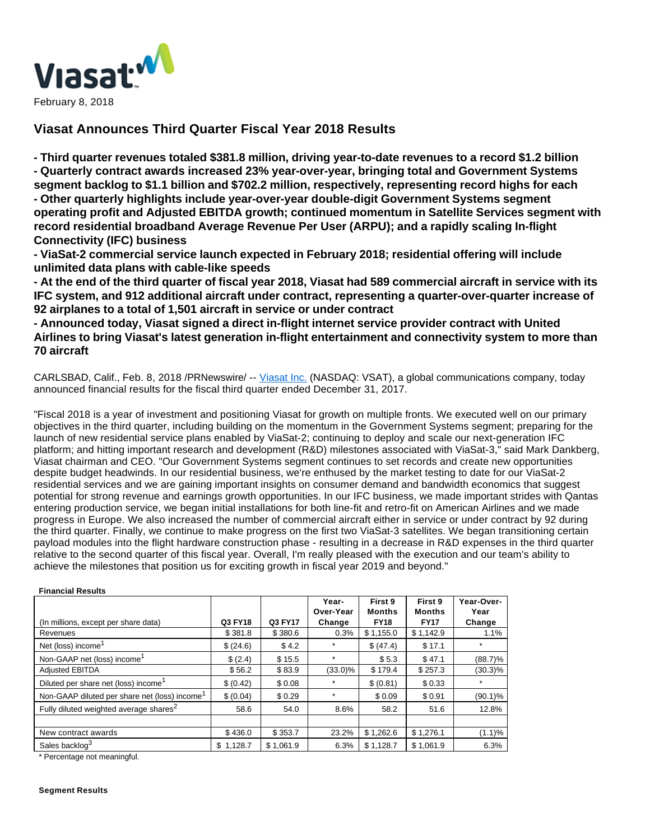

# **Viasat Announces Third Quarter Fiscal Year 2018 Results**

**- Third quarter revenues totaled \$381.8 million, driving year-to-date revenues to a record \$1.2 billion - Quarterly contract awards increased 23% year-over-year, bringing total and Government Systems segment backlog to \$1.1 billion and \$702.2 million, respectively, representing record highs for each - Other quarterly highlights include year-over-year double-digit Government Systems segment** 

**operating profit and Adjusted EBITDA growth; continued momentum in Satellite Services segment with record residential broadband Average Revenue Per User (ARPU); and a rapidly scaling In-flight Connectivity (IFC) business**

**- ViaSat-2 commercial service launch expected in February 2018; residential offering will include unlimited data plans with cable-like speeds**

**- At the end of the third quarter of fiscal year 2018, Viasat had 589 commercial aircraft in service with its IFC system, and 912 additional aircraft under contract, representing a quarter-over-quarter increase of 92 airplanes to a total of 1,501 aircraft in service or under contract**

**- Announced today, Viasat signed a direct in-flight internet service provider contract with United Airlines to bring Viasat's latest generation in-flight entertainment and connectivity system to more than 70 aircraft**

CARLSBAD, Calif., Feb. 8, 2018 /PRNewswire/ -- [Viasat Inc.](http://www.viasat.com/) (NASDAQ: VSAT), a global communications company, today announced financial results for the fiscal third quarter ended December 31, 2017.

"Fiscal 2018 is a year of investment and positioning Viasat for growth on multiple fronts. We executed well on our primary objectives in the third quarter, including building on the momentum in the Government Systems segment; preparing for the launch of new residential service plans enabled by ViaSat-2; continuing to deploy and scale our next-generation IFC platform; and hitting important research and development (R&D) milestones associated with ViaSat-3," said Mark Dankberg, Viasat chairman and CEO. "Our Government Systems segment continues to set records and create new opportunities despite budget headwinds. In our residential business, we're enthused by the market testing to date for our ViaSat-2 residential services and we are gaining important insights on consumer demand and bandwidth economics that suggest potential for strong revenue and earnings growth opportunities. In our IFC business, we made important strides with Qantas entering production service, we began initial installations for both line-fit and retro-fit on American Airlines and we made progress in Europe. We also increased the number of commercial aircraft either in service or under contract by 92 during the third quarter. Finally, we continue to make progress on the first two ViaSat-3 satellites. We began transitioning certain payload modules into the flight hardware construction phase - resulting in a decrease in R&D expenses in the third quarter relative to the second quarter of this fiscal year. Overall, I'm really pleased with the execution and our team's ability to achieve the milestones that position us for exciting growth in fiscal year 2019 and beyond."

|                                                           |           |           | Year-<br>Over-Year | First 9<br><b>Months</b> | First 9<br><b>Months</b> | Year-Over-<br>Year |
|-----------------------------------------------------------|-----------|-----------|--------------------|--------------------------|--------------------------|--------------------|
| (In millions, except per share data)                      | Q3 FY18   | Q3 FY17   | Change             | <b>FY18</b>              | <b>FY17</b>              | Change             |
| Revenues                                                  | \$381.8   | \$380.6   | 0.3%               | \$1,155.0                | \$1,142.9                | 1.1%               |
| Net (loss) income <sup>1</sup>                            | \$(24.6)  | \$4.2     | $\star$            | \$ (47.4)                | \$17.1                   | $\star$            |
| Non-GAAP net (loss) income <sup>1</sup>                   | \$(2.4)   | \$15.5    | $\star$            | \$5.3                    | \$47.1                   | $(88.7)\%$         |
| <b>Adjusted EBITDA</b>                                    | \$56.2    | \$83.9    | $(33.0)\%$         | \$179.4                  | \$257.3                  | $(30.3)\%$         |
| Diluted per share net (loss) income <sup>1</sup>          | \$(0.42)  | \$0.08    | $\star$            | \$ (0.81)                | \$0.33                   | $\star$            |
| Non-GAAP diluted per share net (loss) income <sup>1</sup> | \$ (0.04) | \$0.29    | $\star$            | \$0.09                   | \$0.91                   | $(90.1)\%$         |
| Fully diluted weighted average shares <sup>2</sup>        | 58.6      | 54.0      | 8.6%               | 58.2                     | 51.6                     | 12.8%              |
|                                                           |           |           |                    |                          |                          |                    |
| New contract awards                                       | \$436.0   | \$353.7   | 23.2%              | \$1,262.6                | \$1,276.1                | (1.1)%             |
| Sales backlog <sup>3</sup>                                | \$1,128.7 | \$1,061.9 | 6.3%               | \$1,128.7                | \$1,061.9                | 6.3%               |

**Financial Results**

\* Percentage not meaningful.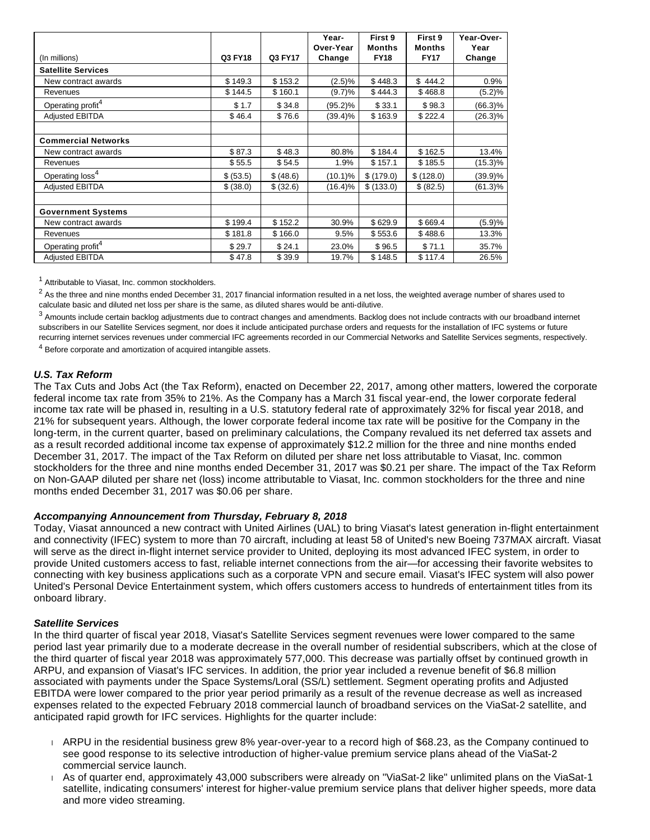|                               |           |           | Year-      | First 9       | First 9       | Year-Over- |
|-------------------------------|-----------|-----------|------------|---------------|---------------|------------|
|                               |           |           | Over-Year  | <b>Months</b> | <b>Months</b> | Year       |
| (In millions)                 | Q3 FY18   | Q3 FY17   | Change     | <b>FY18</b>   | <b>FY17</b>   | Change     |
| <b>Satellite Services</b>     |           |           |            |               |               |            |
| New contract awards           | \$149.3   | \$153.2   | (2.5)%     | \$448.3       | \$444.2       | 0.9%       |
| Revenues                      | \$144.5   | \$160.1   | (9.7)%     | \$444.3       | \$468.8       | (5.2)%     |
| Operating profit <sup>4</sup> | \$1.7     | \$34.8    | $(95.2)\%$ | \$33.1        | \$98.3        | $(66.3)\%$ |
| <b>Adjusted EBITDA</b>        | \$46.4    | \$76.6    | $(39.4)\%$ | \$163.9       | \$222.4       | $(26.3)\%$ |
|                               |           |           |            |               |               |            |
| <b>Commercial Networks</b>    |           |           |            |               |               |            |
| New contract awards           | \$87.3    | \$48.3    | 80.8%      | \$184.4       | \$162.5       | 13.4%      |
| Revenues                      | \$55.5    | \$54.5    | 1.9%       | \$157.1       | \$185.5       | $(15.3)\%$ |
| Operating loss <sup>4</sup>   | \$ (53.5) | \$ (48.6) | $(10.1)\%$ | \$(179.0)     | \$(128.0)     | (39.9)%    |
| <b>Adjusted EBITDA</b>        | \$ (38.0) | \$ (32.6) | $(16.4)\%$ | \$(133.0)     | \$ (82.5)     | $(61.3)\%$ |
|                               |           |           |            |               |               |            |
| <b>Government Systems</b>     |           |           |            |               |               |            |
| New contract awards           | \$199.4   | \$152.2   | 30.9%      | \$629.9       | \$669.4       | (5.9)%     |
| Revenues                      | \$181.8   | \$166.0   | 9.5%       | \$553.6       | \$488.6       | 13.3%      |
| Operating profit <sup>4</sup> | \$29.7    | \$24.1    | 23.0%      | \$96.5        | \$71.1        | 35.7%      |
| <b>Adjusted EBITDA</b>        | \$47.8    | \$39.9    | 19.7%      | \$148.5       | \$117.4       | 26.5%      |

 $1$  Attributable to Viasat, Inc. common stockholders.

 $^2$  As the three and nine months ended December 31, 2017 financial information resulted in a net loss, the weighted average number of shares used to calculate basic and diluted net loss per share is the same, as diluted shares would be anti-dilutive.

 $3$  Amounts include certain backlog adjustments due to contract changes and amendments. Backlog does not include contracts with our broadband internet subscribers in our Satellite Services segment, nor does it include anticipated purchase orders and requests for the installation of IFC systems or future recurring internet services revenues under commercial IFC agreements recorded in our Commercial Networks and Satellite Services segments, respectively. <sup>4</sup> Before corporate and amortization of acquired intangible assets.

# **U.S. Tax Reform**

The Tax Cuts and Jobs Act (the Tax Reform), enacted on December 22, 2017, among other matters, lowered the corporate federal income tax rate from 35% to 21%. As the Company has a March 31 fiscal year-end, the lower corporate federal income tax rate will be phased in, resulting in a U.S. statutory federal rate of approximately 32% for fiscal year 2018, and 21% for subsequent years. Although, the lower corporate federal income tax rate will be positive for the Company in the long-term, in the current quarter, based on preliminary calculations, the Company revalued its net deferred tax assets and as a result recorded additional income tax expense of approximately \$12.2 million for the three and nine months ended December 31, 2017. The impact of the Tax Reform on diluted per share net loss attributable to Viasat, Inc. common stockholders for the three and nine months ended December 31, 2017 was \$0.21 per share. The impact of the Tax Reform on Non-GAAP diluted per share net (loss) income attributable to Viasat, Inc. common stockholders for the three and nine months ended December 31, 2017 was \$0.06 per share.

# **Accompanying Announcement from Thursday, February 8, 2018**

Today, Viasat announced a new contract with United Airlines (UAL) to bring Viasat's latest generation in-flight entertainment and connectivity (IFEC) system to more than 70 aircraft, including at least 58 of United's new Boeing 737MAX aircraft. Viasat will serve as the direct in-flight internet service provider to United, deploying its most advanced IFEC system, in order to provide United customers access to fast, reliable internet connections from the air—for accessing their favorite websites to connecting with key business applications such as a corporate VPN and secure email. Viasat's IFEC system will also power United's Personal Device Entertainment system, which offers customers access to hundreds of entertainment titles from its onboard library.

# **Satellite Services**

In the third quarter of fiscal year 2018, Viasat's Satellite Services segment revenues were lower compared to the same period last year primarily due to a moderate decrease in the overall number of residential subscribers, which at the close of the third quarter of fiscal year 2018 was approximately 577,000. This decrease was partially offset by continued growth in ARPU, and expansion of Viasat's IFC services. In addition, the prior year included a revenue benefit of \$6.8 million associated with payments under the Space Systems/Loral (SS/L) settlement. Segment operating profits and Adjusted EBITDA were lower compared to the prior year period primarily as a result of the revenue decrease as well as increased expenses related to the expected February 2018 commercial launch of broadband services on the ViaSat-2 satellite, and anticipated rapid growth for IFC services. Highlights for the quarter include:

- ARPU in the residential business grew 8% year-over-year to a record high of \$68.23, as the Company continued to see good response to its selective introduction of higher-value premium service plans ahead of the ViaSat-2 commercial service launch.
- As of quarter end, approximately 43,000 subscribers were already on "ViaSat-2 like" unlimited plans on the ViaSat-1 satellite, indicating consumers' interest for higher-value premium service plans that deliver higher speeds, more data and more video streaming.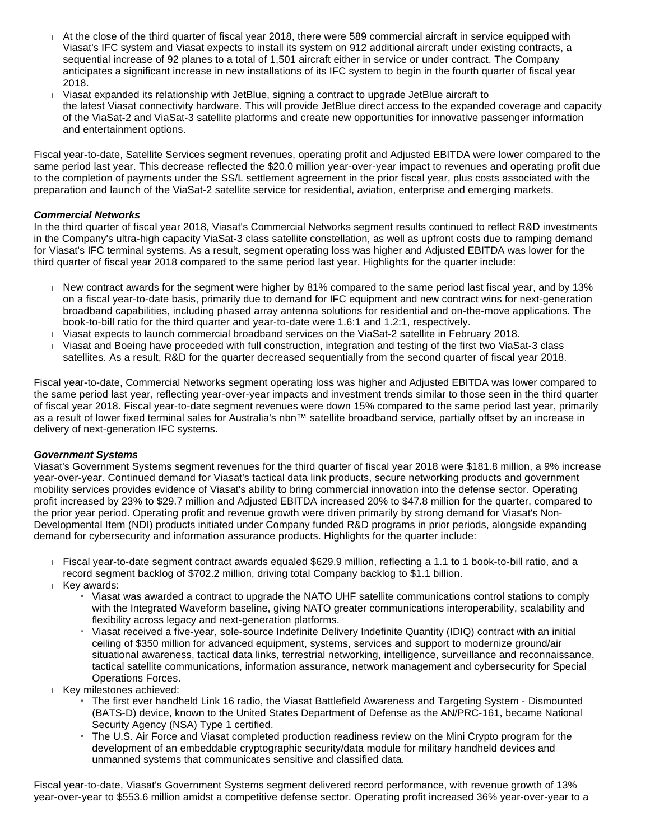- At the close of the third quarter of fiscal year 2018, there were 589 commercial aircraft in service equipped with Viasat's IFC system and Viasat expects to install its system on 912 additional aircraft under existing contracts, a sequential increase of 92 planes to a total of 1,501 aircraft either in service or under contract. The Company anticipates a significant increase in new installations of its IFC system to begin in the fourth quarter of fiscal year 2018.
- Viasat expanded its relationship with JetBlue, signing a contract to upgrade JetBlue aircraft to the latest Viasat connectivity hardware. This will provide JetBlue direct access to the expanded coverage and capacity of the ViaSat-2 and ViaSat-3 satellite platforms and create new opportunities for innovative passenger information and entertainment options.

Fiscal year-to-date, Satellite Services segment revenues, operating profit and Adjusted EBITDA were lower compared to the same period last year. This decrease reflected the \$20.0 million year-over-year impact to revenues and operating profit due to the completion of payments under the SS/L settlement agreement in the prior fiscal year, plus costs associated with the preparation and launch of the ViaSat-2 satellite service for residential, aviation, enterprise and emerging markets.

# **Commercial Networks**

In the third quarter of fiscal year 2018, Viasat's Commercial Networks segment results continued to reflect R&D investments in the Company's ultra-high capacity ViaSat-3 class satellite constellation, as well as upfront costs due to ramping demand for Viasat's IFC terminal systems. As a result, segment operating loss was higher and Adjusted EBITDA was lower for the third quarter of fiscal year 2018 compared to the same period last year. Highlights for the quarter include:

- New contract awards for the segment were higher by 81% compared to the same period last fiscal year, and by 13% on a fiscal year-to-date basis, primarily due to demand for IFC equipment and new contract wins for next-generation broadband capabilities, including phased array antenna solutions for residential and on-the-move applications. The book-to-bill ratio for the third quarter and year-to-date were 1.6:1 and 1.2:1, respectively.
- Viasat expects to launch commercial broadband services on the ViaSat-2 satellite in February 2018.
- Viasat and Boeing have proceeded with full construction, integration and testing of the first two ViaSat-3 class satellites. As a result, R&D for the quarter decreased sequentially from the second quarter of fiscal year 2018.

Fiscal year-to-date, Commercial Networks segment operating loss was higher and Adjusted EBITDA was lower compared to the same period last year, reflecting year-over-year impacts and investment trends similar to those seen in the third quarter of fiscal year 2018. Fiscal year-to-date segment revenues were down 15% compared to the same period last year, primarily as a result of lower fixed terminal sales for Australia's nbn™ satellite broadband service, partially offset by an increase in delivery of next-generation IFC systems.

# **Government Systems**

Viasat's Government Systems segment revenues for the third quarter of fiscal year 2018 were \$181.8 million, a 9% increase year-over-year. Continued demand for Viasat's tactical data link products, secure networking products and government mobility services provides evidence of Viasat's ability to bring commercial innovation into the defense sector. Operating profit increased by 23% to \$29.7 million and Adjusted EBITDA increased 20% to \$47.8 million for the quarter, compared to the prior year period. Operating profit and revenue growth were driven primarily by strong demand for Viasat's Non-Developmental Item (NDI) products initiated under Company funded R&D programs in prior periods, alongside expanding demand for cybersecurity and information assurance products. Highlights for the quarter include:

- Fiscal year-to-date segment contract awards equaled \$629.9 million, reflecting a 1.1 to 1 book-to-bill ratio, and a record segment backlog of \$702.2 million, driving total Company backlog to \$1.1 billion.
- Key awards:
	- $\mu$  Viasat was awarded a contract to upgrade the NATO UHF satellite communications control stations to comply with the Integrated Waveform baseline, giving NATO greater communications interoperability, scalability and flexibility across legacy and next-generation platforms.
	- » Viasat received a five-year, sole-source Indefinite Delivery Indefinite Quantity (IDIQ) contract with an initial ceiling of \$350 million for advanced equipment, systems, services and support to modernize ground/air situational awareness, tactical data links, terrestrial networking, intelligence, surveillance and reconnaissance, tactical satellite communications, information assurance, network management and cybersecurity for Special Operations Forces.
- Key milestones achieved:
	- » The first ever handheld Link 16 radio, the Viasat Battlefield Awareness and Targeting System Dismounted (BATS-D) device, known to the United States Department of Defense as the AN/PRC-161, became National Security Agency (NSA) Type 1 certified.
	- » The U.S. Air Force and Viasat completed production readiness review on the Mini Crypto program for the development of an embeddable cryptographic security/data module for military handheld devices and unmanned systems that communicates sensitive and classified data.

Fiscal year-to-date, Viasat's Government Systems segment delivered record performance, with revenue growth of 13% year-over-year to \$553.6 million amidst a competitive defense sector. Operating profit increased 36% year-over-year to a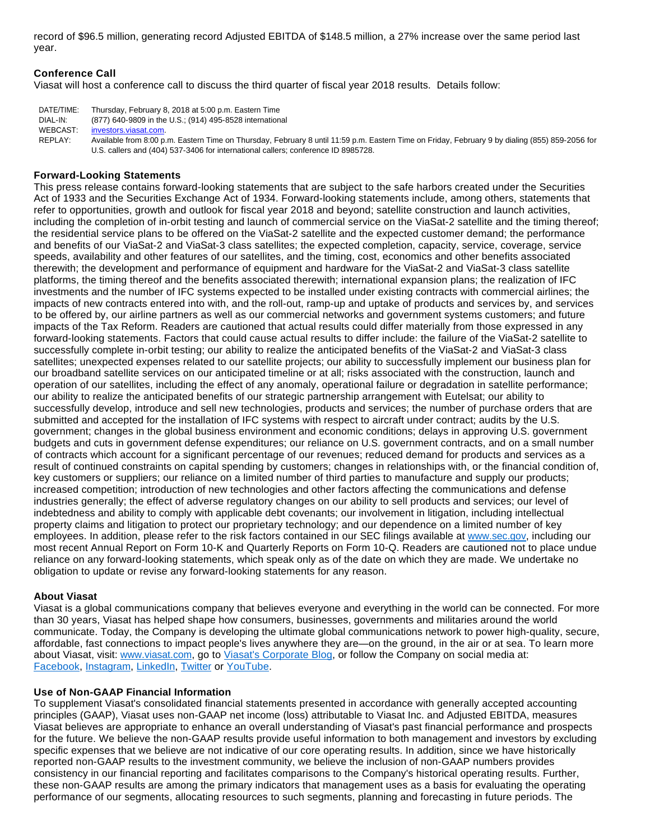record of \$96.5 million, generating record Adjusted EBITDA of \$148.5 million, a 27% increase over the same period last year.

## **Conference Call**

Viasat will host a conference call to discuss the third quarter of fiscal year 2018 results. Details follow:

DATE/TIME: Thursday, February 8, 2018 at 5:00 p.m. Eastern Time DIAL-IN: (877) 640-9809 in the U.S.; (914) 495-8528 international<br>WEBCAST: investors.viasat.com. [investors.viasat.com.](http://investors.viasat.com/)

REPLAY: Available from 8:00 p.m. Eastern Time on Thursday, February 8 until 11:59 p.m. Eastern Time on Friday, February 9 by dialing (855) 859-2056 for U.S. callers and (404) 537-3406 for international callers; conference ID 8985728.

## **Forward-Looking Statements**

This press release contains forward-looking statements that are subject to the safe harbors created under the Securities Act of 1933 and the Securities Exchange Act of 1934. Forward-looking statements include, among others, statements that refer to opportunities, growth and outlook for fiscal year 2018 and beyond; satellite construction and launch activities, including the completion of in-orbit testing and launch of commercial service on the ViaSat-2 satellite and the timing thereof; the residential service plans to be offered on the ViaSat-2 satellite and the expected customer demand; the performance and benefits of our ViaSat-2 and ViaSat-3 class satellites; the expected completion, capacity, service, coverage, service speeds, availability and other features of our satellites, and the timing, cost, economics and other benefits associated therewith; the development and performance of equipment and hardware for the ViaSat-2 and ViaSat-3 class satellite platforms, the timing thereof and the benefits associated therewith; international expansion plans; the realization of IFC investments and the number of IFC systems expected to be installed under existing contracts with commercial airlines; the impacts of new contracts entered into with, and the roll-out, ramp-up and uptake of products and services by, and services to be offered by, our airline partners as well as our commercial networks and government systems customers; and future impacts of the Tax Reform. Readers are cautioned that actual results could differ materially from those expressed in any forward-looking statements. Factors that could cause actual results to differ include: the failure of the ViaSat-2 satellite to successfully complete in-orbit testing; our ability to realize the anticipated benefits of the ViaSat-2 and ViaSat-3 class satellites; unexpected expenses related to our satellite projects; our ability to successfully implement our business plan for our broadband satellite services on our anticipated timeline or at all; risks associated with the construction, launch and operation of our satellites, including the effect of any anomaly, operational failure or degradation in satellite performance; our ability to realize the anticipated benefits of our strategic partnership arrangement with Eutelsat; our ability to successfully develop, introduce and sell new technologies, products and services; the number of purchase orders that are submitted and accepted for the installation of IFC systems with respect to aircraft under contract; audits by the U.S. government; changes in the global business environment and economic conditions; delays in approving U.S. government budgets and cuts in government defense expenditures; our reliance on U.S. government contracts, and on a small number of contracts which account for a significant percentage of our revenues; reduced demand for products and services as a result of continued constraints on capital spending by customers; changes in relationships with, or the financial condition of, key customers or suppliers; our reliance on a limited number of third parties to manufacture and supply our products; increased competition; introduction of new technologies and other factors affecting the communications and defense industries generally; the effect of adverse regulatory changes on our ability to sell products and services; our level of indebtedness and ability to comply with applicable debt covenants; our involvement in litigation, including intellectual property claims and litigation to protect our proprietary technology; and our dependence on a limited number of key employees. In addition, please refer to the risk factors contained in our SEC filings available at [www.sec.gov,](http://www.sec.gov/) including our most recent Annual Report on Form 10-K and Quarterly Reports on Form 10-Q. Readers are cautioned not to place undue reliance on any forward-looking statements, which speak only as of the date on which they are made. We undertake no obligation to update or revise any forward-looking statements for any reason.

### **About Viasat**

Viasat is a global communications company that believes everyone and everything in the world can be connected. For more than 30 years, Viasat has helped shape how consumers, businesses, governments and militaries around the world communicate. Today, the Company is developing the ultimate global communications network to power high-quality, secure, affordable, fast connections to impact people's lives anywhere they are—on the ground, in the air or at sea. To learn more about Viasat, visit: [www.viasat.com,](http://www.viasat.com/) go to [Viasat's Corporate Blog](https://corpblog.viasat.com/), or follow the Company on social media at: [Facebook](https://www.facebook.com/ViaSat), [Instagram](https://www.instagram.com/viasatinc/), [LinkedIn,](https://www.linkedin.com/company/viasat) [Twitter](https://twitter.com/ViaSatInc) or [YouTube.](https://www.youtube.com/user/ViaSatInc)

### **Use of Non-GAAP Financial Information**

To supplement Viasat's consolidated financial statements presented in accordance with generally accepted accounting principles (GAAP), Viasat uses non-GAAP net income (loss) attributable to Viasat Inc. and Adjusted EBITDA, measures Viasat believes are appropriate to enhance an overall understanding of Viasat's past financial performance and prospects for the future. We believe the non-GAAP results provide useful information to both management and investors by excluding specific expenses that we believe are not indicative of our core operating results. In addition, since we have historically reported non-GAAP results to the investment community, we believe the inclusion of non-GAAP numbers provides consistency in our financial reporting and facilitates comparisons to the Company's historical operating results. Further, these non-GAAP results are among the primary indicators that management uses as a basis for evaluating the operating performance of our segments, allocating resources to such segments, planning and forecasting in future periods. The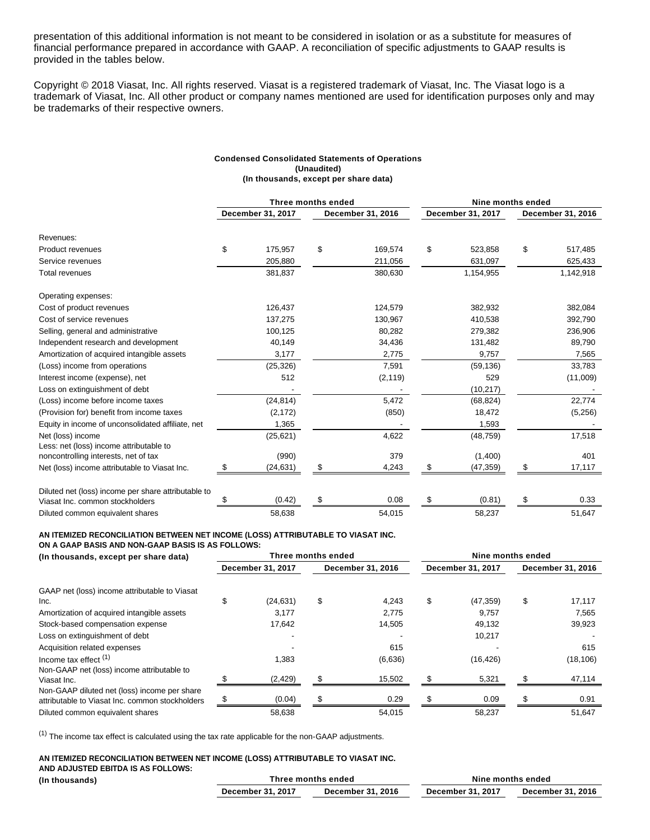presentation of this additional information is not meant to be considered in isolation or as a substitute for measures of financial performance prepared in accordance with GAAP. A reconciliation of specific adjustments to GAAP results is provided in the tables below.

Copyright © 2018 Viasat, Inc. All rights reserved. Viasat is a registered trademark of Viasat, Inc. The Viasat logo is a trademark of Viasat, Inc. All other product or company names mentioned are used for identification purposes only and may be trademarks of their respective owners.

#### **Condensed Consolidated Statements of Operations (Unaudited) (In thousands, except per share data)**

|                                                              |                   | Three months ended |                   | Nine months ended |                   |    |                   |  |  |
|--------------------------------------------------------------|-------------------|--------------------|-------------------|-------------------|-------------------|----|-------------------|--|--|
|                                                              | December 31, 2017 |                    | December 31, 2016 |                   | December 31, 2017 |    | December 31, 2016 |  |  |
| Revenues:                                                    |                   |                    |                   |                   |                   |    |                   |  |  |
| Product revenues                                             | \$<br>175,957     | \$                 | 169,574           | \$                | 523,858           | \$ | 517,485           |  |  |
| Service revenues                                             | 205,880           |                    | 211,056           |                   | 631,097           |    | 625,433           |  |  |
| <b>Total revenues</b>                                        | 381,837           |                    | 380,630           |                   | 1,154,955         |    | 1,142,918         |  |  |
| Operating expenses:                                          |                   |                    |                   |                   |                   |    |                   |  |  |
| Cost of product revenues                                     | 126,437           |                    | 124,579           |                   | 382,932           |    | 382,084           |  |  |
| Cost of service revenues                                     | 137,275           |                    | 130,967           |                   | 410,538           |    | 392,790           |  |  |
| Selling, general and administrative                          | 100,125           |                    | 80,282            |                   | 279,382           |    | 236,906           |  |  |
| Independent research and development                         | 40,149            |                    | 34,436            |                   | 131,482           |    | 89,790            |  |  |
| Amortization of acquired intangible assets                   | 3,177             |                    | 2,775             |                   | 9,757             |    | 7,565             |  |  |
| (Loss) income from operations                                | (25, 326)         |                    | 7,591             |                   | (59, 136)         |    | 33,783            |  |  |
| Interest income (expense), net                               | 512               |                    | (2, 119)          |                   | 529               |    | (11,009)          |  |  |
| Loss on extinguishment of debt                               |                   |                    |                   |                   | (10, 217)         |    |                   |  |  |
| (Loss) income before income taxes                            | (24, 814)         |                    | 5,472             |                   | (68, 824)         |    | 22,774            |  |  |
| (Provision for) benefit from income taxes                    | (2, 172)          |                    | (850)             |                   | 18,472            |    | (5,256)           |  |  |
| Equity in income of unconsolidated affiliate, net            | 1,365             |                    |                   |                   | 1,593             |    |                   |  |  |
| Net (loss) income<br>Less: net (loss) income attributable to | (25, 621)         |                    | 4,622             |                   | (48, 759)         |    | 17,518            |  |  |
| noncontrolling interests, net of tax                         | (990)             |                    | 379               |                   | (1,400)           |    | 401               |  |  |
| Net (loss) income attributable to Viasat Inc.                | (24, 631)         | \$                 | 4,243             | S                 | (47, 359)         | S  | 17,117            |  |  |
| Diluted net (loss) income per share attributable to          |                   |                    |                   |                   |                   |    |                   |  |  |
| Viasat Inc. common stockholders                              | (0.42)            |                    | 0.08              |                   | (0.81)            | S  | 0.33              |  |  |
| Diluted common equivalent shares                             | 58,638            |                    | 54,015            |                   | 58,237            |    | 51,647            |  |  |

## **AN ITEMIZED RECONCILIATION BETWEEN NET INCOME (LOSS) ATTRIBUTABLE TO VIASAT INC.**

**ON A GAAP BASIS AND NON-GAAP BASIS IS AS FOLLOWS:**

| (In thousands, except per share data)           |                   | Three months ended |                   | Nine months ended |                   |                   |           |  |  |
|-------------------------------------------------|-------------------|--------------------|-------------------|-------------------|-------------------|-------------------|-----------|--|--|
|                                                 | December 31, 2017 |                    | December 31, 2016 |                   | December 31, 2017 | December 31, 2016 |           |  |  |
| GAAP net (loss) income attributable to Viasat   |                   |                    |                   |                   |                   |                   |           |  |  |
| Inc.                                            | \$<br>(24, 631)   | \$                 | 4,243             | \$                | (47, 359)         | \$                | 17,117    |  |  |
| Amortization of acquired intangible assets      | 3,177             |                    | 2,775             |                   | 9,757             |                   | 7,565     |  |  |
| Stock-based compensation expense                | 17,642            |                    | 14,505            |                   | 49,132            |                   | 39,923    |  |  |
| Loss on extinguishment of debt                  |                   |                    |                   |                   | 10,217            |                   |           |  |  |
| Acquisition related expenses                    |                   |                    | 615               |                   |                   |                   | 615       |  |  |
| Income tax effect $(1)$                         | 1.383             |                    | (6,636)           |                   | (16, 426)         |                   | (18, 106) |  |  |
| Non-GAAP net (loss) income attributable to      |                   |                    |                   |                   |                   |                   |           |  |  |
| Viasat Inc.                                     | (2, 429)          |                    | 15,502            |                   | 5,321             |                   | 47,114    |  |  |
| Non-GAAP diluted net (loss) income per share    |                   |                    |                   |                   |                   |                   |           |  |  |
| attributable to Viasat Inc. common stockholders | (0.04)            |                    | 0.29              |                   | 0.09              |                   | 0.91      |  |  |
| Diluted common equivalent shares                | 58,638            |                    | 54.015            |                   | 58,237            |                   | 51.647    |  |  |

 $(1)$  The income tax effect is calculated using the tax rate applicable for the non-GAAP adjustments.

#### **AN ITEMIZED RECONCILIATION BETWEEN NET INCOME (LOSS) ATTRIBUTABLE TO VIASAT INC. AND ADJUSTED EBITDA IS AS FOLLOWS:**

| (In thousands) |                   | Three months ended | Nine months ended |                          |  |  |
|----------------|-------------------|--------------------|-------------------|--------------------------|--|--|
|                | December 31, 2017 | December 31, 2016  | December 31, 2017 | <b>December 31, 2016</b> |  |  |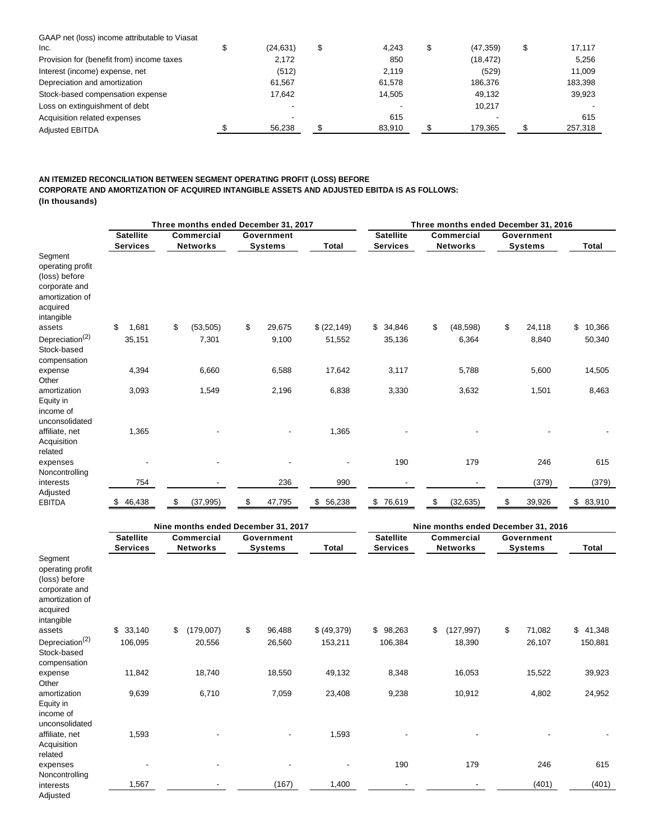| GAAP net (loss) income attributable to Viasat |           |        |                 |              |
|-----------------------------------------------|-----------|--------|-----------------|--------------|
| Inc.                                          | (24, 631) | 4.243  | \$<br>(47, 359) | \$<br>17.117 |
| Provision for (benefit from) income taxes     | 2.172     | 850    | (18, 472)       | 5,256        |
| Interest (income) expense, net                | (512)     | 2.119  | (529)           | 11.009       |
| Depreciation and amortization                 | 61.567    | 61.578 | 186.376         | 183,398      |
| Stock-based compensation expense              | 17.642    | 14.505 | 49.132          | 39,923       |
| Loss on extinguishment of debt                |           |        | 10.217          |              |
| Acquisition related expenses                  |           | 615    |                 | 615          |
| <b>Adiusted EBITDA</b>                        | 56.238    | 83.910 | 179.365         | 257,318      |

# **AN ITEMIZED RECONCILIATION BETWEEN SEGMENT OPERATING PROFIT (LOSS) BEFORE CORPORATE AND AMORTIZATION OF ACQUIRED INTANGIBLE ASSETS AND ADJUSTED EBITDA IS AS FOLLOWS:**

|                                                                                                            |    |                                     |     | Three months ended December 31, 2017 |                              |              | Three months ended December 31, 2016 |                                     |    |                               |    |                              |    |              |
|------------------------------------------------------------------------------------------------------------|----|-------------------------------------|-----|--------------------------------------|------------------------------|--------------|--------------------------------------|-------------------------------------|----|-------------------------------|----|------------------------------|----|--------------|
|                                                                                                            |    | <b>Satellite</b><br><b>Services</b> |     | <b>Commercial</b><br><b>Networks</b> | Government<br><b>Systems</b> | <b>Total</b> |                                      | <b>Satellite</b><br><b>Services</b> |    | Commercial<br><b>Networks</b> |    | Government<br><b>Systems</b> |    | <b>Total</b> |
| Segment<br>operating profit<br>(loss) before<br>corporate and<br>amortization of<br>acquired<br>intangible |    |                                     |     |                                      |                              |              |                                      |                                     |    |                               |    |                              |    |              |
| assets                                                                                                     | \$ | 1,681                               | \$  | (53, 505)                            | \$<br>29,675                 | \$(22,149)   | \$                                   | 34,846                              | \$ | (48, 598)                     | \$ | 24,118                       | \$ | 10,366       |
| Depreciation <sup>(2)</sup><br>Stock-based<br>compensation                                                 |    | 35,151                              |     | 7,301                                | 9,100                        | 51,552       |                                      | 35,136                              |    | 6,364                         |    | 8,840                        |    | 50,340       |
| expense<br>Other                                                                                           |    | 4,394                               |     | 6,660                                | 6,588                        | 17,642       |                                      | 3,117                               |    | 5,788                         |    | 5,600                        |    | 14,505       |
| amortization<br>Equity in<br>income of<br>unconsolidated                                                   |    | 3,093                               |     | 1,549                                | 2,196                        | 6,838        |                                      | 3,330                               |    | 3,632                         |    | 1,501                        |    | 8,463        |
| affiliate, net<br>Acquisition<br>related                                                                   |    | 1,365                               |     |                                      |                              | 1,365        |                                      |                                     |    |                               |    |                              |    |              |
| expenses<br>Noncontrolling                                                                                 |    |                                     |     |                                      |                              |              |                                      | 190                                 |    | 179                           |    | 246                          |    | 615          |
| interests<br>Adjusted                                                                                      |    | 754                                 |     |                                      | 236                          | 990          |                                      |                                     |    |                               |    | (379)                        |    | (379)        |
| <b>EBITDA</b>                                                                                              | S  | 46,438                              | \$. | (37, 995)                            | \$<br>47,795                 | 56,238<br>\$ | S                                    | 76,619                              | \$ | (32, 635)                     | S  | 39,926                       | S  | 83,910       |

|                                                                                                            |                                     | Nine months ended December 31, 2017 |                              |              | Nine months ended December 31, 2016 |                               |                              |              |  |  |
|------------------------------------------------------------------------------------------------------------|-------------------------------------|-------------------------------------|------------------------------|--------------|-------------------------------------|-------------------------------|------------------------------|--------------|--|--|
|                                                                                                            | <b>Satellite</b><br><b>Services</b> | Commercial<br><b>Networks</b>       | Government<br><b>Systems</b> | Total        | <b>Satellite</b><br><b>Services</b> | Commercial<br><b>Networks</b> | Government<br><b>Systems</b> | <b>Total</b> |  |  |
| Segment<br>operating profit<br>(loss) before<br>corporate and<br>amortization of<br>acquired<br>intangible |                                     |                                     |                              |              |                                     |                               |                              |              |  |  |
| assets                                                                                                     | \$<br>33,140                        | \$<br>(179,007)                     | \$<br>96,488                 | \$ (49, 379) | 98,263<br>\$                        | \$<br>(127, 997)              | \$<br>71,082                 | \$<br>41,348 |  |  |
| Depreciation <sup>(2)</sup><br>Stock-based<br>compensation                                                 | 106,095                             | 20,556                              | 26,560                       | 153,211      | 106,384                             | 18,390                        | 26,107                       | 150,881      |  |  |
| expense<br>Other                                                                                           | 11,842                              | 18,740                              | 18,550                       | 49,132       | 8,348                               | 16,053                        | 15,522                       | 39,923       |  |  |
| amortization<br>Equity in<br>income of<br>unconsolidated                                                   | 9,639                               | 6,710                               | 7,059                        | 23,408       | 9,238                               | 10,912                        | 4,802                        | 24,952       |  |  |
| affiliate, net<br>Acquisition<br>related                                                                   | 1,593                               |                                     |                              | 1,593        |                                     |                               |                              |              |  |  |
| expenses<br>Noncontrolling                                                                                 |                                     |                                     |                              |              | 190                                 | 179                           | 246                          | 615          |  |  |
| interests<br>Adjusted                                                                                      | 1,567                               |                                     | (167)                        | 1,400        |                                     |                               | (401)                        | (401)        |  |  |